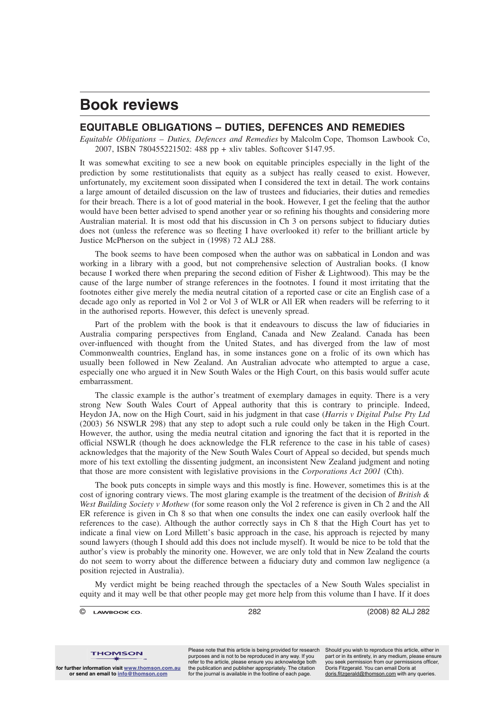## **Book reviews**

## **EQUITABLE OBLIGATIONS – DUTIES, DEFENCES AND REMEDIES**

*Equitable Obligations – Duties, Defences and Remedies* by Malcolm Cope, Thomson Lawbook Co, 2007, ISBN 780455221502: 488 pp + xliv tables. Softcover \$147.95.

It was somewhat exciting to see a new book on equitable principles especially in the light of the prediction by some restitutionalists that equity as a subject has really ceased to exist. However, unfortunately, my excitement soon dissipated when I considered the text in detail. The work contains a large amount of detailed discussion on the law of trustees and fiduciaries, their duties and remedies for their breach. There is a lot of good material in the book. However, I get the feeling that the author would have been better advised to spend another year or so refining his thoughts and considering more Australian material. It is most odd that his discussion in Ch 3 on persons subject to fiduciary duties does not (unless the reference was so fleeting I have overlooked it) refer to the brilliant article by Justice McPherson on the subject in (1998) 72 ALJ 288.

The book seems to have been composed when the author was on sabbatical in London and was working in a library with a good, but not comprehensive selection of Australian books. (I know because I worked there when preparing the second edition of Fisher & Lightwood). This may be the cause of the large number of strange references in the footnotes. I found it most irritating that the footnotes either give merely the media neutral citation of a reported case or cite an English case of a decade ago only as reported in Vol 2 or Vol 3 of WLR or All ER when readers will be referring to it in the authorised reports. However, this defect is unevenly spread.

Part of the problem with the book is that it endeavours to discuss the law of fiduciaries in Australia comparing perspectives from England, Canada and New Zealand. Canada has been over-influenced with thought from the United States, and has diverged from the law of most Commonwealth countries, England has, in some instances gone on a frolic of its own which has usually been followed in New Zealand. An Australian advocate who attempted to argue a case, especially one who argued it in New South Wales or the High Court, on this basis would suffer acute embarrassment.

The classic example is the author's treatment of exemplary damages in equity. There is a very strong New South Wales Court of Appeal authority that this is contrary to principle. Indeed, Heydon JA, now on the High Court, said in his judgment in that case (*Harris v Digital Pulse Pty Ltd* (2003) 56 NSWLR 298) that any step to adopt such a rule could only be taken in the High Court. However, the author, using the media neutral citation and ignoring the fact that it is reported in the official NSWLR (though he does acknowledge the FLR reference to the case in his table of cases) acknowledges that the majority of the New South Wales Court of Appeal so decided, but spends much more of his text extolling the dissenting judgment, an inconsistent New Zealand judgment and noting that those are more consistent with legislative provisions in the *Corporations Act 2001* (Cth).

The book puts concepts in simple ways and this mostly is fine. However, sometimes this is at the cost of ignoring contrary views. The most glaring example is the treatment of the decision of *British & West Building Society v Mothew* (for some reason only the Vol 2 reference is given in Ch 2 and the All ER reference is given in Ch 8 so that when one consults the index one can easily overlook half the references to the case). Although the author correctly says in Ch 8 that the High Court has yet to indicate a final view on Lord Millett's basic approach in the case, his approach is rejected by many sound lawyers (though I should add this does not include myself). It would be nice to be told that the author's view is probably the minority one. However, we are only told that in New Zealand the courts do not seem to worry about the difference between a fiduciary duty and common law negligence (a position rejected in Australia).

My verdict might be being reached through the spectacles of a New South Wales specialist in equity and it may well be that other people may get more help from this volume than I have. If it does

© 282 (2008) 82 ALJ 282

**THOMSON for further information visit www.thomson.com.au or send an email to info@thomson.com**

Please note that this article is being provided for research purposes and is not to be reproduced in any way. If you refer to the article, please ensure you acknowledge both the publication and publisher appropriately. The citation for the journal is available in the footline of each page.

Should you wish to reproduce this article, either in part or in its entirety, in any medium, please ensure you seek permission from our permissions officer,<br>Doris Fitzgerald. You can email Doris at doris.fitzgerald@thomson.com with any queries